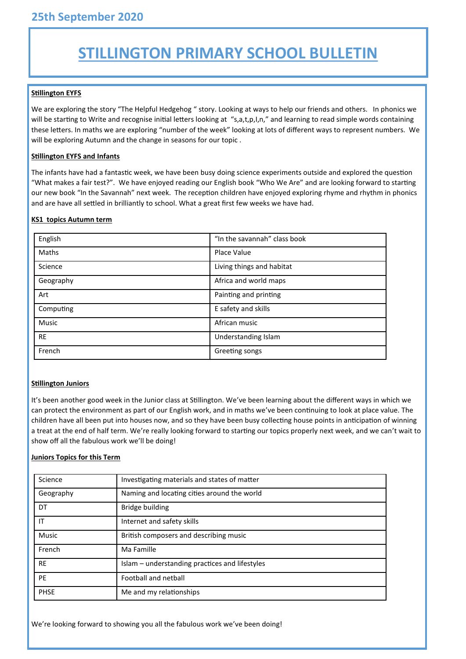# **STILLINGTON PRIMARY SCHOOL BULLETIN**

# **Stillington EYFS**

We are exploring the story "The Helpful Hedgehog " story. Looking at ways to help our friends and others. In phonics we will be starting to Write and recognise initial letters looking at "s,a,t,p,I,n," and learning to read simple words containing these letters. In maths we are exploring "number of the week" looking at lots of different ways to represent numbers. We will be exploring Autumn and the change in seasons for our topic .

### **Stillington EYFS and Infants**

The infants have had a fantastic week, we have been busy doing science experiments outside and explored the question "What makes a fair test?". We have enjoyed reading our English book "Who We Are" and are looking forward to starting our new book "In the Savannah" next week. The reception children have enjoyed exploring rhyme and rhythm in phonics and are have all settled in brilliantly to school. What a great first few weeks we have had.

#### **KS1 topics Autumn term**

| English   | "In the savannah" class book |
|-----------|------------------------------|
| Maths     | Place Value                  |
| Science   | Living things and habitat    |
| Geography | Africa and world maps        |
| Art       | Painting and printing        |
| Computing | E safety and skills          |
| Music     | African music                |
| <b>RE</b> | Understanding Islam          |
| French    | Greeting songs               |

#### **Stillington Juniors**

It's been another good week in the Junior class at Stillington. We've been learning about the different ways in which we can protect the environment as part of our English work, and in maths we've been continuing to look at place value. The children have all been put into houses now, and so they have been busy collecting house points in anticipation of winning a treat at the end of half term. We're really looking forward to starting our topics properly next week, and we can't wait to show off all the fabulous work we'll be doing!

#### **Juniors Topics for this Term**

| Science      | Investigating materials and states of matter   |
|--------------|------------------------------------------------|
| Geography    | Naming and locating cities around the world    |
| DT           | <b>Bridge building</b>                         |
| IT           | Internet and safety skills                     |
| <b>Music</b> | British composers and describing music         |
| French       | Ma Famille                                     |
| <b>RE</b>    | Islam - understanding practices and lifestyles |
| PE           | <b>Football and netball</b>                    |
| <b>PHSE</b>  | Me and my relationships                        |

We're looking forward to showing you all the fabulous work we've been doing!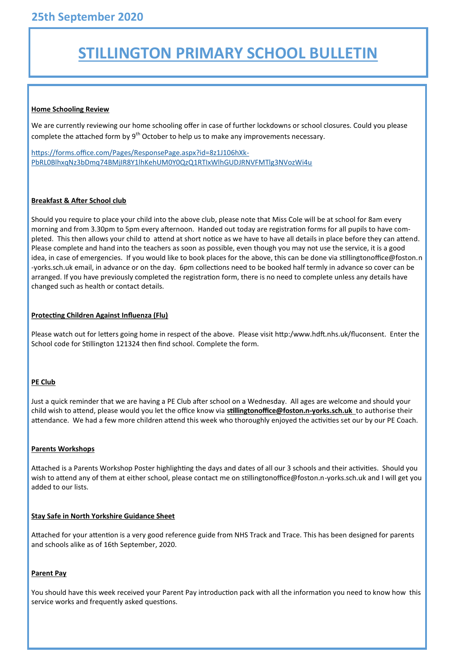# **STILLINGTON PRIMARY SCHOOL BULLETIN**

#### **Home Schooling Review**

We are currently reviewing our home schooling offer in case of further lockdowns or school closures. Could you please complete the attached form by  $9<sup>th</sup>$  October to help us to make any improvements necessary.

[https://forms.office.com/Pages/ResponsePage.aspx?id=8z1J106hXk](https://forms.office.com/Pages/ResponsePage.aspx?id=8z1J106hXk-PbRL0BlhxqNz3bDmq74BMjIR8Y1lhKehUM0Y0QzQ1RTIxWlhGUDJRNVFMTlg3NVozWi4u)-[PbRL0BlhxqNz3bDmq74BMjIR8Y1lhKehUM0Y0QzQ1RTIxWlhGUDJRNVFMTlg3NVozWi4u](https://forms.office.com/Pages/ResponsePage.aspx?id=8z1J106hXk-PbRL0BlhxqNz3bDmq74BMjIR8Y1lhKehUM0Y0QzQ1RTIxWlhGUDJRNVFMTlg3NVozWi4u)

#### **Breakfast & After School club**

Should you require to place your child into the above club, please note that Miss Cole will be at school for 8am every morning and from 3.30pm to 5pm every afternoon. Handed out today are registration forms for all pupils to have completed. This then allows your child to attend at short notice as we have to have all details in place before they can attend. Please complete and hand into the teachers as soon as possible, even though you may not use the service, it is a good idea, in case of emergencies. If you would like to book places for the above, this can be done via stillingtonoffice@foston.n -yorks.sch.uk email, in advance or on the day. 6pm collections need to be booked half termly in advance so cover can be arranged. If you have previously completed the registration form, there is no need to complete unless any details have changed such as health or contact details.

# **Protecting Children Against Influenza (Flu)**

Please watch out for letters going home in respect of the above. Please visit http:/www.hdft.nhs.uk/fluconsent. Enter the School code for Stillington 121324 then find school. Complete the form.

#### **PE Club**

Just a quick reminder that we are having a PE Club after school on a Wednesday. All ages are welcome and should your child wish to attend, please would you let the office know via **stillingtonoffice@foston.n-yorks.sch.uk** to authorise their attendance. We had a few more children attend this week who thoroughly enjoyed the activities set our by our PE Coach.

#### **Parents Workshops**

Attached is a Parents Workshop Poster highlighting the days and dates of all our 3 schools and their activities. Should you wish to attend any of them at either school, please contact me on stillingtonoffice@foston.n-yorks.sch.uk and I will get you added to our lists.

#### **Stay Safe in North Yorkshire Guidance Sheet**

Attached for your attention is a very good reference guide from NHS Track and Trace. This has been designed for parents and schools alike as of 16th September, 2020.

# **Parent Pay**

You should have this week received your Parent Pay introduction pack with all the information you need to know how this service works and frequently asked questions.